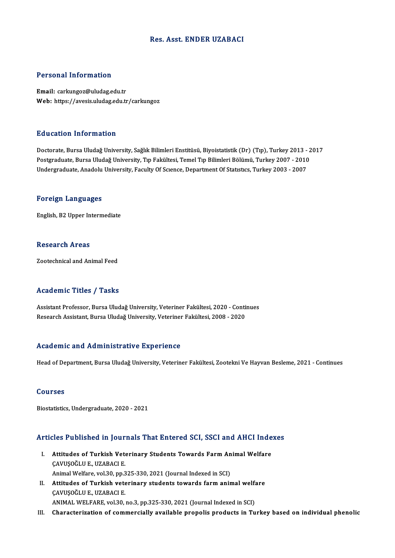### Res. Asst. ENDER UZABACI

#### Personal Information

Email: carkungoz@uludag.edu.tr Web: https://avesis.uludag.edu.tr/carkungoz

#### Education Information

**Education Information**<br>Doctorate, Bursa Uludağ University, Sağlık Bilimleri Enstitüsü, Biyoistatistik (Dr) (Tıp), Turkey 2013 - 2017<br>Bostanaduata Bursa Uludağ University, Tıp Fakültesi, Temel Tıp Bilimleri Bölümü, Turkey Pu u sutrom minominusion<br>Doctorate, Bursa Uludağ University, Sağlık Bilimleri Enstitüsü, Biyoistatistik (Dr) (Tıp), Turkey 2013 - 2<br>Postgraduate, Bursa Uludağ University, Tıp Fakültesi, Temel Tıp Bilimleri Bölümü, Turkey 2 Postgraduate, Bursa Uludağ University, Tıp Fakültesi, Temel Tıp Bilimleri Bölümü, Turkey 2007 - 2010<br>Undergraduate, Anadolu University, Faculty Of Scıence, Department Of Statıstıcs, Turkey 2003 - 2007

#### Foreign Languages

English,B2Upper Intermediate

#### Research Areas

Zootechnical and Animal Feed

#### Academic Titles / Tasks

Assistant Professor, Bursa Uludağ University, Veteriner Fakültesi, 2020 - Continues Research Assistant, Bursa Uludağ University, Veteriner Fakültesi, 2008 - 2020

#### Academic and Administrative Experience

Head of Department, Bursa Uludağ University, Veteriner Fakültesi, Zootekni Ve Hayvan Besleme, 2021 - Continues

#### Courses

Biostatistics,Undergraduate,2020 -2021

# Articles Published in Journals That Entered SCI, SSCI and AHCI Indexes

- rticles Published in Journals That Entered SCI, SSCI and AHCI Inde<br>I. Attitudes of Turkish Veterinary Students Towards Farm Animal Welfare I. Attitudes of Turkish Veterinary Students Towards Farm Animal Welfare<br>CAVUŞOĞLU E., UZABACI E. Attitudes of Turkish Veterinary Students Towards Farm An<br>ÇAVUŞOĞLU E., UZABACI E.<br>Animal Welfare, vol.30, pp.325-330, 2021 (Journal Indexed in SCI)<br>Attitudes of Turkish veterinary students towards farm anim CAVUŞOĞLU E., UZABACI E.<br>Animal Welfare, vol.30, pp.325-330, 2021 (Journal Indexed in SCI)<br>II. Attitudes of Turkish veterinary students towards farm animal welfare
- Animal Welfare, vol.30, pp.3<br>Attitudes of Turkish vete<br>ÇAVUŞOĞLU E., UZABACI E.<br>ANIMAL WELFARE vol.30 Attitudes of Turkish veterinary students towards farm animal welfa<br>ÇAVUŞOĞLU E., UZABACI E.<br>ANIMAL WELFARE, vol.30, no.3, pp.325-330, 2021 (Journal Indexed in SCI)<br>Characterization of sammargially available propelis produc CAVUŞOĞLU E., UZABACI E.<br>ANIMAL WELFARE, vol.30, no.3, pp.325-330, 2021 (Journal Indexed in SCI)<br>III. Characterization of commercially available propolis products in Turkey based on individual phenolic
-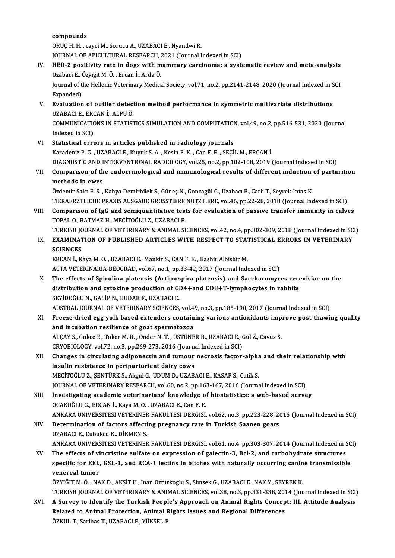compounds

ORUÇ H. H., cayci M., Sorucu A., UZABACI E., Nyandwi R. JOURNAL OF APICULTURAL RESEARCH, 2021 (Journal Indexed in SCI)

- ORUÇ H. H. , cayci M., Sorucu A., UZABACI E., Nyandwi R.<br>JOURNAL OF APICULTURAL RESEARCH, 2021 (Journal Indexed in SCI)<br>IV. HER-2 positivity rate in dogs with mammary carcinoma: a systematic review and meta-analysis<br>Usebes JOURNAL OF APICULTURAL RESEARCH, ;<br>HER-2 positivity rate in dogs with m<br>Uzabacı E., Özyiğit M. Ö. , Ercan İ., Arda Ö.<br>Journal of the Hellenis Veterinery Medica HER-2 positivity rate in dogs with mammary carcinoma: a systematic review and meta-analysis<br>Uzabacı E., Özyiğit M. Ö. , Ercan İ., Arda Ö.<br>Journal of the Hellenic Veterinary Medical Society, vol.71, no.2, pp.2141-2148, 2020 Uzabacı E., Özyiğit M. Ö. , Ercan İ., Arda Ö.<br>Journal of the Hellenic Veterinary Medical Society, vol.71, no.2, pp.2141-2148, 2020 (Journal Indexed in SCI<br>Expanded)
- Journal of the Hellenic Veterinary Medical Society, vol.71, no.2, pp.2141-2148, 2020 (Journal Indexed in S<br>Expanded)<br>V. Evaluation of outlier detection method performance in symmetric multivariate distributions<br>UZAPACLE ER Expanded)<br><mark>Evaluation of outlier detect</mark><br>UZABACI E., ERCAN İ., ALPU Ö.<br>COMMUNICATIONS IN STATIST Evaluation of outlier detection method performance in symmetric multivariate distributions<br>UZABACI E., ERCAN İ., ALPU Ö.<br>COMMUNICATIONS IN STATISTICS-SIMULATION AND COMPUTATION, vol.49, no.2, pp.516-531, 2020 (Journal<br>Inde UZABACI E., ERO<br>COMMUNICATION<br>Indexed in SCI)<br>Statistical arm
- COMMUNICATIONS IN STATISTICS-SIMULATION AND COMPUTATION<br>Indexed in SCI)<br>VI. Statistical errors in articles published in radiology journals<br>Karadania B.C. UZABACLE Kumuk S.A. Kasin E.K. Can E.E. SECI Indexed in SCI)<br>VI. Statistical errors in articles published in radiology journals<br>Karadeniz P. G. , UZABACI E., Kuyuk S. A. , Kesin F. K. , Can F. E. , SEÇİL M., ERCAN İ.
- Statistical errors in articles published in radiology journals<br>Karadeniz P. G. , UZABACI E., Kuyuk S. A. , Kesin F. K. , Can F. E. , SEÇİL M., ERCAN İ.<br>DIAGNOSTIC AND INTERVENTIONAL RADIOLOGY, vol.25, no.2, pp.102-108, 201
- Karadeniz P. G. , UZABACI E., Kuyuk S. A. , Kesin F. K. , Can F. E. , SEÇİL M., ERCAN İ.<br>DIAGNOSTIC AND INTERVENTIONAL RADIOLOGY, vol.25, no.2, pp.102-108, 2019 (Journal Indexed in SCI)<br>VII. Comparison of the endocrinologi DIAGNOSTIC AND I<br>Comparison of the<br>methods in ewes Comparison of the endocrinological and immunological results of different induction<br>methods in ewes<br>Özdemir Salcı E. S. , Kahya Demirbilek S., Güneş N., Goncagül G., Uzabacı E., Carli T., Seyrek-Intas K.<br>TIERAERZTI ICHE PR

methods in ewes<br>Özdemir Salcı E. S. , Kahya Demirbilek S., Güneş N., Goncagül G., Uzabacı E., Carli T., Seyrek-Intas K.<br>TIERAERZTLICHE PRAXIS AUSGABE GROSSTIERE NUTZTIERE, vol.46, pp.22-28, 2018 (Journal Indexed in SCI) Özdemir Salcı E. S. , Kahya Demirbilek S., Güneş N., Goncagül G., Uzabacı E., Carli T., Seyrek-Intas K.<br>TIERAERZTLICHE PRAXIS AUSGABE GROSSTIERE NUTZTIERE, vol.46, pp.22-28, 2018 (Journal Indexed in SCI)<br>VIII. Comparison o

TIERAERZTLICHE PRAXIS AUSGABE GROSSTIERE<br>Comparison of IgG and semiquantitative test<br>TOPAL O., BATMAZ H., MECİTOĞLU Z., UZABACI E.<br>TURKISH JOURNAL OE VETERINARY & ANIMAL SO Comparison of IgG and semiquantitative tests for evaluation of passive transfer immunity in calves<br>TOPAL O., BATMAZ H., MECİTOĞLU Z., UZABACI E.<br>TURKISH JOURNAL OF VETERINARY & ANIMAL SCIENCES, vol.42, no.4, pp.302-309, 20

# TOPAL O., BATMAZ H., MECITOĞLU Z., UZABACI E.<br>TURKISH JOURNAL OF VETERINARY & ANIMAL SCIENCES, vol.42, no.4, pp.302-309, 2018 (Journal Indexed in SC<br>IX. EXAMINATION OF PUBLISHED ARTICLES WITH RESPECT TO STATISTICAL ERR TURKISH JC<br><mark>EXAMINAT</mark><br>SCIENCES<br>ERCAN İ. K IX. EXAMINATION OF PUBLISHED ARTICLES WITH RESPECT TO STATISTICAL ERRORS IN VETERINARY<br>SCIENCES<br>ERCAN İ., Kaya M. O. , UZABACI E., Mankir S., CAN F. E. , Bashir Albishir M.

ACTA VETERINARIA-BEOGRAD, vol.67, no.1, pp.33-42, 2017 (Journal Indexed in SCI)

- X. The effects of Spirulina platensis (Arthrospira platensis) and Saccharomyces cerevisiae on the ACTA VETERINARIA-BEOGRAD, vol.67, no.1, pp.33-42, 2017 (Journal Indexed in SCI)<br>The effects of Spirulina platensis (Arthrospira platensis) and Saccharomyces cere<br>distribution and cytokine production of CD4+and CD8+T-lympho The effects of Spirulina platensis (Arthros<br>distribution and cytokine production of Cl<br>SEYİDOĞLU N., GALİP N., BUDAK F., UZABACI E.<br>AUSTRAL JOURNAL OF VETERINARY SCIENCES distribution and cytokine production of CD4+and CD8+T-lymphocytes in rabbits<br>SEYİDOĞLU N., GALİP N., BUDAK F., UZABACI E.<br>AUSTRAL JOURNAL OF VETERINARY SCIENCES, vol.49, no.3, pp.185-190, 2017 (Journal Indexed in SCI)<br>Free
- SEYİDOĞLU N., GALİP N., BUDAK F., UZABACI E.<br>AUSTRAL JOURNAL OF VETERINARY SCIENCES, vol.49, no.3, pp.185-190, 2017 (Journal Indexed in SCI)<br>XI. Freeze-dried egg yolk based extenders containing various antioxidants improve AUSTRAL JOURNAL OF VETERINARY SCIENCES, vol.4<br>Freeze-dried egg yolk based extenders contain<br>and incubation resilience of goat spermatozoa<br>ALCAV S. Cokee E. Toker M. B. Order N. T. USTUNE Freeze-dried egg yolk based extenders containing various antioxidants imp<br>and incubation resilience of goat spermatozoa<br>ALÇAY S., Gokce E., Toker M. B. , Onder N. T. , ÜSTÜNER B., UZABACI E., Gul Z., Cavus S.<br>CRYORIOLOCY v and incubation resilience of goat spermatozoa<br>ALÇAY S., Gokce E., Toker M. B. , Onder N. T. , ÜSTÜNER B., UZABACI E., (<br>CRYOBIOLOGY, vol.72, no.3, pp.269-273, 2016 (Journal Indexed in SCI)<br>Shanges in singulating adinenesti ALÇAY S., Gokce E., Toker M. B. , Onder N. T. , ÜSTÜNER B., UZABACI E., Gul Z., Cavus S.<br>CRYOBIOLOGY, vol.72, no.3, pp.269-273, 2016 (Journal Indexed in SCI)<br>XII. Changes in circulating adiponectin and tumour necrosis fact
- CRYOBIOLOGY, vol.72, no.3, pp.269-273, 2016 (Journal Indexed in SCI)<br>Changes in circulating adiponectin and tumour necrosis factor-alpha<br>insulin resistance in periparturient dairy cows<br>MECITOĞLU Z., SENTÜRK S., Akgul G., U Changes in circulating adiponectin and tumour necrosis factor-alpha<br>insulin resistance in periparturient dairy cows<br>MECİTOĞLU Z., ŞENTÜRK S., Akgul G., UDUM D., UZABACI E., KASAP S., Catik S.<br>JOUPMAL OF VETERINARY RESEARCH JOURNAL OF VETERINARY RESEARCH, vol.60, no.2, pp.163-167, 2016 (Journal Indexed in SCI)
- XIII. Investigating academic veterinarians' knowledge of biostatistics: a web-based survey OCAKOĞLUG.,ERCANİ.,KayaM.O. ,UZABACIE.,CanF.E. ANKARAUNIVERSITESIVETERINERFAKULTESIDERGISI,vol.62,no.3,pp.223-228,2015 (Journal Indexed inSCI) OCAKOĞLU G., ERCAN İ., Kaya M. O. , UZABACI E., Can F. E.<br>ANKARA UNIVERSITESI VETERINER FAKULTESI DERGISI, vol.62, no.3, pp.223-228, 20<br>XIV. Determination of factors affecting pregnancy rate in Turkish Saanen goats
- ANKARA UNIVERSITESI VETERINEF<br>Determination of factors affecti<br>UZABACI E., Cubukcu K., DİKMEN S.<br>ANKARA UNIVERSITESI VETERINER Determination of factors affecting pregnancy rate in Turkish Saanen goats<br>UZABACI E., Cubukcu K., DİKMEN S.<br>ANKARA UNIVERSITESI VETERINER FAKULTESI DERGISI, vol.61, no.4, pp.303-307, 2014 (Journal Indexed in SCI)<br>The effec UZABACI E., Cubukcu K., DİKMEN S.<br>ANKARA UNIVERSITESI VETERINER FAKULTESI DERGISI, vol.61, no.4, pp.303-307, 2014 (Journal Indexed in S.<br>XV. The effects of vincristine sulfate on expression of galectin-3, Bcl-2, and carboh
- ANKARA UNIVERSITESI VETERINER FAKULTESI DERGISI, vol.61, no.4, pp.303-307, 2014 (Journal Indexed in SC<br>The effects of vincristine sulfate on expression of galectin-3, Bcl-2, and carbohydrate structures<br>specific for EEL, GS The effects of vi<br>specific for EEL<br>venereal tumor<br>özvičin M Ö - NA specific for EEL, GSL-1, and RCA-1 lectins in bitches with naturally occurring canine transmissible<br>venereal tumor<br>ÖZYİĞİT M. Ö., NAK D., AKŞİT H., Inan Ozturkoglu S., Simsek G., UZABACI E., NAK Y., SEYREK K.

venereal tumor<br>ÖZYİĞİT M. Ö. , NAK D., AKŞİT H., Inan Ozturkoglu S., Simsek G., UZABACI E., NAK Y., SEYREK K.<br>TURKISH JOURNAL OF VETERINARY & ANIMAL SCIENCES, vol.38, no.3, pp.331-338, 2014 (Journal Indexed in SCI)<br>A Surve ÖZYİĞİT M. Ö. , NAK D., AKŞİT H., Inan Ozturkoglu S., Simsek G., UZABACI E., NAK Y., SEYREK K.<br>TURKISH JOURNAL OF VETERINARY & ANIMAL SCIENCES, vol.38, no.3, pp.331-338, 2014 (Journal Indexed in SCI)<br>XVI. A Survey to Ident

TURKISH JOURNAL OF VETERINARY & ANIMAL SCIENCES, vol.38, no.3, pp.331-338, 201<br>A Survey to Identify the Turkish People's Approach on Animal Rights Concep<br>Related to Animal Protection, Animal Rights Issues and Regional Diff A Survey to Identify the Turkish People's Approach on Animal Rights Concept: III. Attitude Analysis<br>Related to Animal Protection, Animal Rights Issues and Regional Differences<br>ÖZKUL T., Saribas T., UZABACI E., YÜKSEL E.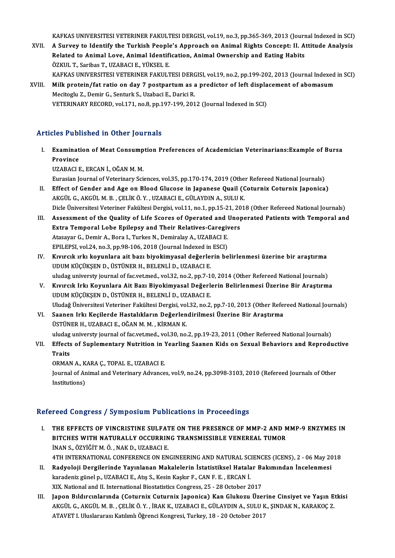KAFKAS UNIVERSITESI VETERINER FAKULTESI DERGISI, vol.19, no.3, pp.365-369, 2013 (Journal Indexed in SCI)<br>A Survey to Identify the Turkish Beenla's Annyeach on Animal Bights Consent: II, Attitude Anglysis

KAFKAS UNIVERSITESI VETERINER FAKULTESI DERGISI, vol.19, no.3, pp.365-369, 2013 (Journal Indexed in SCI)<br>XVII. A Survey to Identify the Turkish People's Approach on Animal Rights Concept: II. Attitude Analysis KAFKAS UNIVERSITESI VETERINER FAKULTESI DERGISI, vol.19, no.3, pp.365-369, 2013 (Journ<br>A Survey to Identify the Turkish People's Approach on Animal Rights Concept: II. A<br>Related to Animal Love, Animal Identification, Anima A Survey to Identify the Turkish People's Approach on Animal Rights Concept: II. Attitude Analysis<br>Related to Animal Love, Animal Identification, Animal Ownership and Eating Habits<br>ÖZKUL T.. Saribas T.. UZABACI E.. YÜKSEL

KAFKAS UNIVERSITESI VETERINER FAKULTESI DERGISI, vol.19, no.2, pp.199-202, 2013 (Journal Indexed in SCI)

ÖZKUL T., Saribas T., UZABACI E., YÜKSEL E.<br>KAFKAS UNIVERSITESI VETERINER FAKULTESI DERGISI, vol.19, no.2, pp.199-202, 2013 (Journal Indexed<br>XVIII. Milk protein/fat ratio on day 7 postpartum as a predictor of left displace Mecitoglu Z., Demir G., Senturk S., Uzabaci E., Darici R.<br>VETERINARY RECORD, vol.171, no.8, pp.197-199, 2012 (Journal Indexed in SCI) Milk protein/fat ratio on day 7 postpartum as a predictor of left displa<br>Mecitoglu Z., Demir G., Senturk S., Uzabaci E., Darici R.<br>VETERINARY RECORD, vol.171, no.8, pp.197-199, 2012 (Journal Indexed in SCI)

# Articles Published in Other Journals

rticles Published in Other Journals<br>I. Examination of Meat Consumption Preferences of Academician Veterinarians:Example of Bursa<br>Requines Examinat<br>Province<br>Province Examination of Meat Consump<br>Province<br>UZABACI E., ERCAN İ., OĞAN M. M.<br>Eurosian Journal of Veterinary Sai Province<br>UZABACI E., ERCAN İ., OĞAN M. M.<br>Eurasian Journal of Veterinary Sciences, vol.35, pp.170-174, 2019 (Other Refereed National Journals)<br>Effect of Conder and Age on Blood Glusese in Jonanese Quail (Cotunniu Catunniu

- UZABACI E., ERCAN İ., OĞAN M. M.<br>Eurasian Journal of Veterinary Sciences, vol.35, pp.170-174, 2019 (Other Refereed National Journals)<br>II. Effect of Gender and Age on Blood Glucose in Japanese Quail (Coturnix Coturnix Japon II. Effect of Gender and Age on Blood Glucose in Japanese Quail (Coturnix Coturnix Japonica)<br>AKGÜL G., AKGÜL M.B., ÇELİKÖ.Y., UZABACI E., GÜLAYDIN A., SULU K. Effect of Gender and Age on Blood Glucose in Japanese Quail (Coturnix Coturnix Japonica)<br>AKGÜL G., AKGÜL M. B. , ÇELİK Ö. Y. , UZABACI E., GÜLAYDIN A., SULU K.<br>Dicle Üniversitesi Veteriner Fakültesi Dergisi, vol.11, no.1, AKGÜL G., AKGÜL M. B. , ÇELİK Ö. Y. , UZABACI E., GÜLAYDIN A., SULU K.<br>Dicle Üniversitesi Veteriner Fakültesi Dergisi, vol.11, no.1, pp.15-21, 2018 (Other Refereed National Journals)<br>III. Assessment of the Quality of Life
- Dicle Üniversitesi Veteriner Fakültesi Dergisi, vol.11, no.1, pp.15-21, 20<br>Assessment of the Quality of Life Scores of Operated and Unop<br>Extra Temporal Lobe Epilepsy and Their Relatives-Caregivers<br>Atasayar C. Domir A. Bora Assessment of the Quality of Life Scores of Operated and law<br>Extra Temporal Lobe Epilepsy and Their Relatives-Caregiu<br>Atasayar G., Demir A., Bora I., Turkes N., Demiralay A., UZABACI E.<br>EPU EPSL Vol 24, no 2, nn 99, 106, 2 Extra Temporal Lobe Epilepsy and Their Relatives-Caregivers<br>Atasayar G., Demir A., Bora I., Turkes N., Demiralay A., UZABACI E.<br>EPILEPSI, vol.24, no.3, pp.98-106, 2018 (Journal Indexed in ESCI) Atasayar G., Demir A., Bora I., Turkes N., Demiralay A., UZABACI E.<br>IV. Kıvırcık ırkı koyunlara ait bazı biyokimyasal değerlerin belirlenmesi üzerine bir araştırma<br>IV. Kıvırcık ırkı koyunlara ait bazı biyokimyasal değerler
- EPILEPSI, vol.24, no.3, pp.98-106, 2018 (Journal Indexed in<br>Kıvırcık ırkı koyunlara ait bazı biyokimyasal değerle:<br>UDUM KÜÇÜKŞEN D., ÜSTÜNER H., BELENLİ D., UZABACI E.<br>uludas universty journal af fasyet med. vol.32, no.2, Kıvırcık ırkı koyunlara ait bazı biyokimyasal değerlerin belirlenmesi üzerine bir araştırma<br>UDUM KÜÇÜKŞEN D., ÜSTÜNER H., BELENLİ D., UZABACI E.<br>uludag universty journal of fac.vet.med., vol.32, no.2, pp.7-10, 2014 (Other UDUM KÜÇÜKŞEN D., ÜSTÜNER H., BELENLİ D., UZABACI E.<br>uludag universty journal of fac.vet.med., vol.32, no.2, pp.7-10, 2014 (Other Refereed National Journals)<br>V. Kıvırcık Irkı Koyunlara Ait Bazı Biyokimyasal Değerlerin Beli
- uludag universty journal of fac.vet.med., vol.32, no.2, pp.7-1<br>Kıvırcık Irkı Koyunlara Ait Bazı Biyokimyasal Değerl<br>UDUM KÜÇÜKŞEN D., ÜSTÜNER H., BELENLİ D., UZABACI E.<br>Uludağ Üniversitesi Veteriner Fekültesi Dergisi vol.3 Kıvırcık Irkı Koyunlara Ait Bazı Biyokimyasal Değerlerin Belirlenmesi Üzerine Bir Araştırma<br>UDUM KÜÇÜKŞEN D., ÜSTÜNER H., BELENLİ D., UZABACI E.<br>Uludağ Üniversitesi Veteriner Fakültesi Dergisi, vol.32, no.2, pp.7-10, 2013
- VI. Saanen Irkı Keçilerde Hastalıkların Değerlendirilmesi Üzerine Bir Araştırma Uludağ Üniversitesi Veteriner Fakültesi Dergisi, vol<br>Saanen Irkı Keçilerde Hastalıkların Değerlen<br>ÜSTÜNER H., UZABACI E., OĞAN M. M. , KİRMAN K.<br>uludas universtrieurnal ef fesyet med. vol 20. ne. uludag universty journal of fac.vet.med., vol.30, no.2, pp.19-23, 2011 (Other Refereed National Journals) ÜSTÜNER H., UZABACI E., OĞAN M. M. , KİRMAN K.<br>uludag universty journal of fac.vet.med., vol.30, no.2, pp.19-23, 2011 (Other Refereed National Journals)<br>VII. Effects of Suplementary Nutrition in Yearling Saanen Kids on
- uludag<br>Effects<br>Traits<br>OPMAN Effects of Suplementary Nutrition in 1<br>Traits<br>ORMAN A., KARA Ç., TOPAL E., UZABACI E.<br>Journal of Animal and Veterinary Advance

Traits<br>ORMAN A., KARA Ç., TOPAL E., UZABACI E.<br>Journal of Animal and Veterinary Advances, vol.9, no.24, pp.3098-3103, 2010 (Refereed Journals of Other<br>Institutions) ORMAN A., K<br>Journal of Ar<br>Institutions)

## Refereed Congress / Symposium Publications in Proceedings

- I. THE EFFECTS OF VINCRISTINE SULFATE ON THE PRESENCE OF MMP-2 AND MMP-9 ENZYMES IN TOOR OORGTOOP TOJ INPODIAM TABRIGALORD IN TTOOGGANGD<br>THE EFFECTS OF VINCRISTINE SULFATE ON THE PRESENCE OF MMP-2 AND N<br>BITCHES WITH NATURALLY OCCURRING TRANSMISSIBLE VENEREAL TUMOR<br>INAN S. ÖZVIČIT M. Ö., NAK D. UZABACLE THE EFFECTS OF VINCRISTINE SULFAT<br>BITCHES WITH NATURALLY OCCURRIN<br>İNAN S., ÖZYİĞİT M. Ö. , NAK D., UZABACI E.<br>4TH INTERNATIONAL CONEEPENCE ON EN İNAN S., ÖZYİĞİT M. Ö. , NAK D., UZABACI E.<br>4TH INTERNATIONAL CONFERENCE ON ENGINEERING AND NATURAL SCIENCES (ICENS), 2 - 06 May 2018 INAN S., ÖZYİĞİT M. Ö. , NAK D., UZABACI E.<br>4TH INTERNATIONAL CONFERENCE ON ENGINEERING AND NATURAL SCIENCES (ICENS), 2 - 06 May 20<br>II. Radyoloji Dergilerinde Yayınlanan Makalelerin İstatistiksel Hatalar Bakımından İncelen
- 4TH INTERNATIONAL CONFERENCE ON ENGINEERING AND NATURAL SC<br>Radyoloji Dergilerinde Yayınlanan Makalelerin İstatistiksel Hatala<br>karadeniz günel p., UZABACI E., Atış S., Kesin Kaşkır F., CAN F. E. , ERCAN İ.<br>YIY National and Radyoloji Dergilerinde Yayınlanan Makalelerin İstatistiksel Hatalar Ba<br>karadeniz günel p., UZABACI E., Atış S., Kesin Kaşkır F., CAN F. E. , ERCAN İ.<br>XIX. National and II. International Biostatistics Congress, 25 - 28 Octo karadeniz günel p., UZABACI E., Atış S., Kesin Kaşkır F., CAN F. E. , ERCAN İ.<br>III. Japon Bıldırcınlarında (Coturnix Cuturnix Japonica) Kan Glukozu Üzerine Cinsiyet ve Yaşın Etkisi<br>AKÇÜL G. AKÇÜLM B. GELİKÖ V. İBAK K. UZAB
- XIX. National and II. International Biostatistics Congress, 25 28 October 2017<br>Japon Bıldırcınlarında (Coturnix Cuturnix Japonica) Kan Glukozu Üzerine Cinsiyet ve Yaşın Et<br>AKGÜL G., AKGÜL M. B. , ÇELİK Ö. Y. , İRAK K., U Japon Bıldırcınlarında (Coturnix Cuturnix Japonica) Kan Glukozu Üzer<br>AKGÜL G., AKGÜL M. B. , ÇELİK Ö. Y. , İRAK K., UZABACI E., GÜLAYDIN A., SULU K<br>ATAVET I. Uluslararası Katılımlı Öğrenci Kongresi, Turkey, 18 - 20 October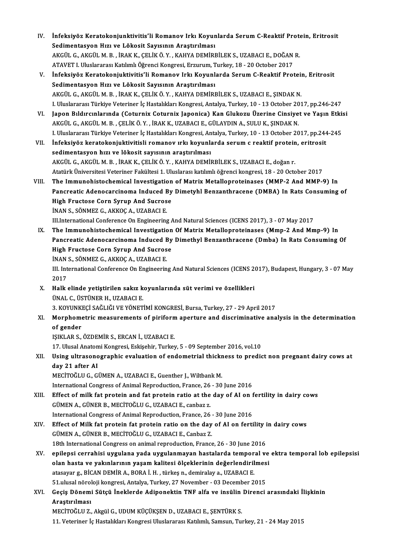- IV. İnfeksiyöz Keratokonjunktivitis'li Romanov Irkı Koyunlarda Serum C-Reaktif Protein, Eritrosit<br>Sedimentasyon Hızı ve Lökesit Sewsunun Anastınılması İnfeksiyöz Keratokonjunktivitis'li Romanov Irkı Koyun<br>Sedimentasyon Hızı ve Lökosit Sayısının Araştırılması<br>AKÇİ'U C. AKÇİ'U M P. İRAK K. ÇELİKÖ V. KAHVA DEMİRI İnfeksiyöz Keratokonjunktivitis'li Romanov Irkı Koyunlarda Serum C-Reaktif Prote<br>Sedimentasyon Hızı ve Lökosit Sayısının Araştırılması<br>AKGÜL G., AKGÜL M. B. , İRAK K., ÇELİK Ö. Y. , KAHYA DEMİRBİLEK S., UZABACI E., DOĞAN R Sedimentasyon Hızı ve Lökosit Sayısının Araştırılması<br>AKGÜL G., AKGÜL M. B. , İRAK K., CELİK Ö. Y. , KAHYA DEMİRBİLEK S., UZABACI E., DOĞAN R. ATAVET I. Uluslararası Katılımlı Öğrenci Kongresi, Erzurum, Turkey, 18 - 20 October 2017
- V. İnfeksiyöz Keratokonjuktivitis'li Romanov Irkı Koyunlarda SerumC-Reaktif Protein, Eritrosit AKGÜLG.,AKGÜLM.B. , İRAKK.,ÇELİKÖ.Y. ,KAHYADEMİRBİLEKS.,UZABACIE.,ŞINDAKN. I.UluslararasıTürkiyeVeteriner İçHastalıklarıKongresi,Antalya,Turkey,10 -13October 2017,pp.246-247 AKGÜL G., AKGÜL M. B. , İRAK K., ÇELİK Ö. Y. , KAHYA DEMİRBİLEK S., UZABACI E., ŞINDAK N.<br>I. Uluslararası Türkiye Veteriner İç Hastalıkları Kongresi, Antalya, Turkey, 10 - 13 October 2017, pp.246-247<br>VI. Japon Bıldırcınlar
- I. Uluslararası Türkiye Veteriner İç Hastalıkları Kongresi, Antalya, Turkey, 10 13 October 20<br>Japon Bıldırcınlarında (Coturnix Coturnix Japonica) Kan Glukozu Üzerine Cinsiye<br>AKGÜL G., AKGÜL M. B. , ÇELİK Ö. Y. , İRAK K., Japon Bıldırcınlarında (Coturnix Coturnix Japonica) Kan Glukozu Üzerine Cinsiyet ve Yaşın Etki:<br>AKGÜL G., AKGÜL M. B. , ÇELİK Ö. Y. , İRAK K., UZABACI E., GÜLAYDIN A., SULU K., ŞINDAK N.<br>I. Uluslararası Türkiye Veteriner İ AKGÜL G., AKGÜL M. B. , ÇELİK Ö. Y. , İRAK K., UZABACI E., GÜLAYDIN A., SULU K., ŞINDAK N.<br>I. Uluslararası Türkiye Veteriner İç Hastalıkları Kongresi, Antalya, Turkey, 10 - 13 October 2017, pp.244<br>VII. İnfeksiyöz keratokon I. Uluslararası Türkiye Veteriner İç Hastalıkları Kongresi, Antalya, Turkey, 10 - 13 October 2017, pp.244-245
- AKGÜL G., AKGÜL M. B., İRAK K., ÇELİK Ö. Y., KAHYA DEMİRBİLEK S., UZABACI E., doğanr. sedimentasyon hızı ve lökosit sayısının araştırılması<br>AKGÜL G., AKGÜL M. B. , İRAK K., ÇELİK Ö. Y. , KAHYA DEMİRBİLEK S., UZABACI E., doğan r.<br>Atatürk Üniversitesi Veteriner Fakültesi 1. Uluslarası katılımlı öğrenci kongre AKGÜL G., AKGÜL M. B. , İRAK K., ÇELİK Ö. Y. , KAHYA DEMİRBİLEK S., UZABACI E., doğan r.<br>Atatürk Üniversitesi Veteriner Fakültesi 1. Uluslarası katılımlı öğrenci kongresi, 18 - 20 October 2017<br>VIII. The Immunohistochem
- Atatürk Üniversitesi Veteriner Fakültesi 1. Uluslarası katılımlı öğrenci kongresi, 18 20 October 2017<br>The Immunohistochemical Investigation of Matrix Metalloproteinases (MMP-2 And MMP-9) In<br>Pancreatic Adenocarcinoma Indu The Immunohistochemical Investigation<br>Pancreatic Adenocarcinoma Induced By<br>High Fructose Corn Syrup And Sucrose<br>INAN S. SÖNMEZ C. A*VVOC* A. UZABACLE Pancreatic Adenocarcinoma Induced E<br>High Fructose Corn Syrup And Sucros<br>İNAN S., SÖNMEZ G., AKKOÇ A., UZABACI E.<br>III International Conference On Engineering High Fructose Corn Syrup And Sucrose<br>INAN S., SÖNMEZ G., AKKOÇ A., UZABACI E.<br>III.International Conference On Engineering And Natural Sciences (ICENS 2017), 3 - 07 May 2017
- IX. The Immunohistochemical Investigation Of Matrix Metalloproteinases (Mmp-2 And Mmp-9) In Pancreatic Adenocarcinoma Induced By Dimethyl Benzanthracene (Dmba) In Rats Consuming Of The Immunohistochemical Investigation<br>Pancreatic Adenocarcinoma Induced By<br>High Fructose Corn Syrup And Sucrose<br>INAN S. SÖNMEZ C. AKKOC A. UZABACLE Pancreatic Adenocarcinoma Induced E<br>High Fructose Corn Syrup And Sucros<br>İNAN S., SÖNMEZ G., AKKOÇ A., UZABACI E.<br>III International Conference On Engineerin İNAN S., SÖNMEZ G., AKKOÇ A., UZABACI E.

III. International Conference On Engineering And Natural Sciences (ICENS 2017), Budapest, Hungary, 3 - 07 May<br>2017 III. International Conference On Engineering And Natural Sciences (ICENS 2<br>2017<br>X. Halk elinde yetiştirilen sakız koyunlarında süt verimi ve özellikleri<br>INAL C. ÜSTÜNER H. UZARACLE

- 2017<br>Halk elinde yetiştirilen sakız k<br>ÜNAL C., ÜSTÜNER H., UZABACI E.<br>2. KOVUNKECİ SAĞLIĞLVE YÖNET Halk elinde yetiştirilen sakız koyunlarında süt verimi ve özellikleri<br>ÜNAL C., ÜSTÜNER H., UZABACI E.<br>3. KOYUNKEÇİ SAĞLIĞI VE YÖNETİMİ KONGRESİ, Bursa, Turkey, 27 - 29 April 2017<br>Marnhametria measurements of nirifarm anert
- ÜNAL C., ÜSTÜNER H., UZABACI E.<br>3. KOYUNKEÇİ SAĞLIĞI VE YÖNETİMİ KONGRESİ, Bursa, Turkey, 27 29 April 2017<br>XI. Morphometric measurements of piriform aperture and discriminative analysis in the determination<br>of gender 3. KOYUNK<br>Morphome<br>of gender<br>ISIVI AD S of gender<br>15IKLAR S., ÖZDEMİR S., ERCAN İ., UZABACI E.<br>17. Ulusal Anatomi Kongresi, Eskişehir, Turkey, 5 - 09 September 2016, vol.10<br>Heing ultrasonographia evoluation of ondometrial thiekness to prodic

IŞIKLARS.,ÖZDEMİRS.,ERCANİ.,UZABACIE.

IŞIKLAR S., ÖZDEMİR S., ERCAN İ., UZABACI E.<br>17. Ulusal Anatomi Kongresi, Eskişehir, Turkey, 5 - 09 September 2016, vol.10<br>XII. Using ultrasonographic evaluation of endometrial thickness to predict non pregnant dairy c 17. Ulusal Anaton<br>Using ultrasono<br>day 21 after AI<br>MECITOČLU.C. CI Using ultrasonographic evaluation of endometrial thickr<br>day 21 after AI<br>MECİTOĞLU G., GÜMEN A., UZABACI E., Guenther J., Wiltbank M.<br>International Congress of Animal Benreduction, Franse 26, 20 day 21 after AI<br>MECİTOĞLU G., GÜMEN A., UZABACI E., Guenther J., Wiltbank M.<br>International Congress of Animal Reproduction, France, 26 - 30 June 2016

- MECİTOĞLU G., GÜMEN A., UZABACI E., Guenther J., Wiltbank M.<br>International Congress of Animal Reproduction, France, 26 30 June 2016<br>XIII. Effect of milk fat protein and fat protein ratio at the day of AI on fertility in International Congress of Animal Reproduction, France, 26<br>Effect of milk fat protein and fat protein ratio at the<br>GÜMEN A., GÜNER B., MECİTOĞLU G., UZABACI E., canbaz z.<br>International Congress of Animal Bonroduction, Franc Effect of milk fat protein and fat protein ratio at the day of AI on f<br>GÜMEN A., GÜNER B., MECİTOĞLU G., UZABACI E., canbaz z.<br>International Congress of Animal Reproduction, France, 26 - 30 June 2016<br>Effect of Milk fat pro GÜMEN A., GÜNER B., MECITOĞLU G., UZABACI E., canbaz z.<br>International Congress of Animal Reproduction, France, 26 - 30 June 2016<br>XIV. Effect of Milk fat protein fat protein ratio on the day of AI on fertility in dairy cows
- International Congress of Animal Reproduction, France, 26<br>Effect of Milk fat protein fat protein ratio on the day<br>GÜMEN A., GÜNER B., MECİTOĞLU G., UZABACI E., Canbaz Z.<br>19th International Congress on animal reproduction. Effect of Milk fat protein fat protein ratio on the day of AI on fertility i<br>GÜMEN A., GÜNER B., MECİTOĞLU G., UZABACI E., Canbaz Z.<br>18th International Congress on animal reproduction, France, 26 - 30 June 2016<br>anilansi se
- GÜMEN A., GÜNER B., MECİTOĞLU G., UZABACI E., Canbaz Z.<br>18th International Congress on animal reproduction, France, 26 30 June 2016<br>XV. epilepsi cerrahisi uygulana yada uygulanmayan hastalarda temporal ve ektra tempo 18th International Congress on animal reproduction, France, 26 - 30 June 2016<br>epilepsi cerrahisi uygulana yada uygulanmayan hastalarda temporal ve<br>olan hasta ve yakınlarının yaşam kalitesi ölçeklerinin değerlendirilmesi<br>at epilepsi cerrahisi uygulana yada uygulanmayan hastalarda tempor<br>olan hasta ve yakınlarının yaşam kalitesi ölçeklerinin değerlendiril<br>atasayar g., BİCAN DEMİR A., BORA İ. H. , türkeş n., demiralay a., UZABACI E.<br>51 yılısal olan hasta ve yakınlarının yaşam kalitesi ölçeklerinin değerlendirilmesi<br>atasayar g., BİCAN DEMİR A., BORA İ. H. , türkeş n., demiralay a., UZABACI E.<br>51.ulusal nöroloji kongresi, Antalya, Turkey, 27 November - 03 December atasayar g., BİCAN DEMİR A., BORA İ. H. , türkeş n., demiralay a., UZABACI E.<br>51.ulusal nöroloji kongresi, Antalya, Turkey, 27 November - 03 December 2015<br>XVI. Geçiş Dönemi Sütçü İneklerde Adiponektin TNF alfa ve insül
- 51.ulusal nörol<br>Geçiş Dönemi<br>Araştırılması<br>MECİTOČLU 7 Geçiş Dönemi Sütçü İneklerde Adiponektin TNF alfa ve insülin<br>Araştırılması<br>MECİTOĞLU Z., Akgül G., UDUM KÜÇÜKŞEN D., UZABACI E., ŞENTÜRK S.<br>11 Veteriner İs Hastalıları Konsussi Unalararası Katlımlı Samsun Tu Araştırılması<br>MECİTOĞLU Z., Akgül G., UDUM KÜÇÜKŞEN D., UZABACI E., ŞENTÜRK S.<br>11. Veteriner İç Hastalıkları Kongresi Uluslararası Katılımlı, Samsun, Turkey, 21 - 24 May 2015